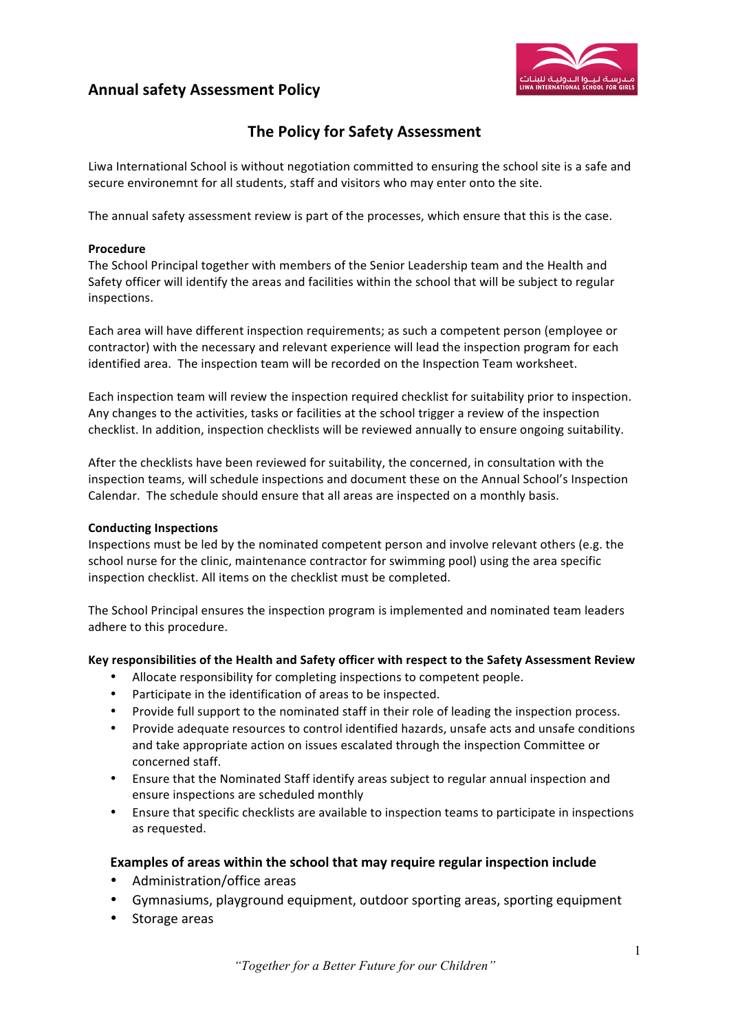# **Annual safety Assessment Policy**



# **The Policy for Safety Assessment**

Liwa International School is without negotiation committed to ensuring the school site is a safe and secure environemnt for all students, staff and visitors who may enter onto the site.

The annual safety assessment review is part of the processes, which ensure that this is the case.

#### **Procedure**

The School Principal together with members of the Senior Leadership team and the Health and Safety officer will identify the areas and facilities within the school that will be subject to regular inspections. 

Each area will have different inspection requirements; as such a competent person (employee or contractor) with the necessary and relevant experience will lead the inspection program for each identified area. The inspection team will be recorded on the Inspection Team worksheet.

Each inspection team will review the inspection required checklist for suitability prior to inspection. Any changes to the activities, tasks or facilities at the school trigger a review of the inspection checklist. In addition, inspection checklists will be reviewed annually to ensure ongoing suitability.

After the checklists have been reviewed for suitability, the concerned, in consultation with the inspection teams, will schedule inspections and document these on the Annual School's Inspection Calendar. The schedule should ensure that all areas are inspected on a monthly basis.

#### **Conducting Inspections**

Inspections must be led by the nominated competent person and involve relevant others (e.g. the school nurse for the clinic, maintenance contractor for swimming pool) using the area specific inspection checklist. All items on the checklist must be completed.

The School Principal ensures the inspection program is implemented and nominated team leaders adhere to this procedure.

## Key responsibilities of the Health and Safety officer with respect to the Safety Assessment Review

- Allocate responsibility for completing inspections to competent people.
- Participate in the identification of areas to be inspected.
- Provide full support to the nominated staff in their role of leading the inspection process.
- Provide adequate resources to control identified hazards, unsafe acts and unsafe conditions and take appropriate action on issues escalated through the inspection Committee or concerned staff.
- Ensure that the Nominated Staff identify areas subject to regular annual inspection and ensure inspections are scheduled monthly
- Ensure that specific checklists are available to inspection teams to participate in inspections as requested.

## **Examples of areas within the school that may require regular inspection include**

- Administration/office areas
- Gymnasiums, playground equipment, outdoor sporting areas, sporting equipment
- Storage areas